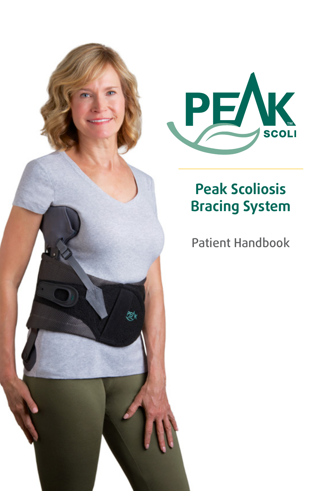



# **Peak Scoliosis Bracing System**

## Patient Handbook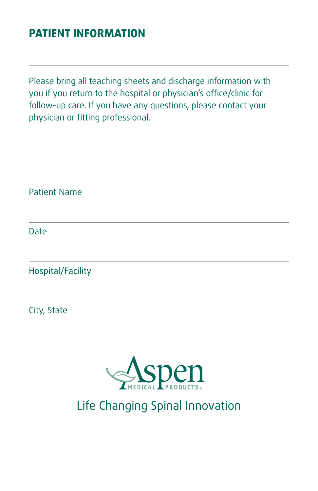#### **PATIENT INFORMATION**

Please bring all teaching sheets and discharge information with you if you return to the hospital or physician's office/clinic for follow-up care. If you have any questions, please contact your physician or fitting professional.

Patient Name Date Hospital/Facility City, State



Life Changing Spinal Innovation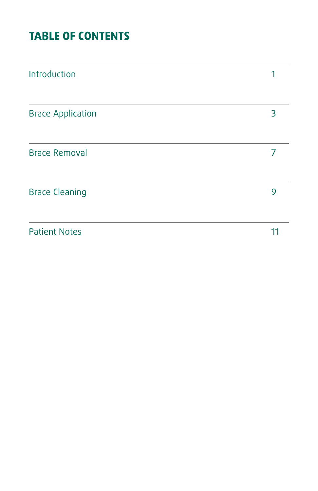### **TABLE OF CONTENTS**

| Introduction             |    |
|--------------------------|----|
| <b>Brace Application</b> | 3  |
| <b>Brace Removal</b>     |    |
| <b>Brace Cleaning</b>    | 9  |
| <b>Patient Notes</b>     | 11 |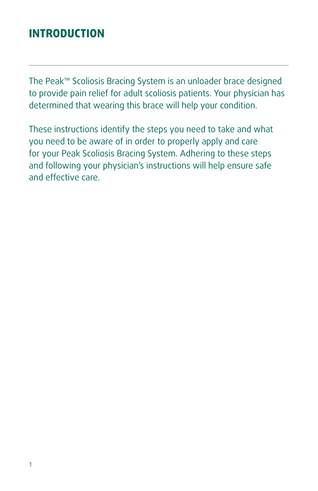#### **INTRODUCTION**

The Peak™ Scoliosis Bracing System is an unloader brace designed to provide pain relief for adult scoliosis patients. Your physician has determined that wearing this brace will help your condition.

These instructions identify the steps you need to take and what you need to be aware of in order to properly apply and care for your Peak Scoliosis Bracing System. Adhering to these steps and following your physician's instructions will help ensure safe and effective care.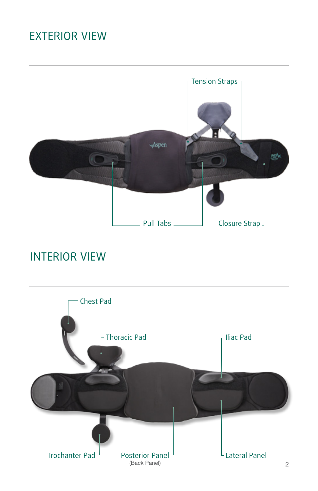## Exterior View



#### Interior View

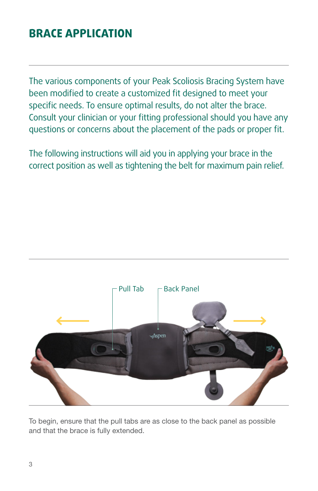#### **Brace Application**

The various components of your Peak Scoliosis Bracing System have been modified to create a customized fit designed to meet your specific needs. To ensure optimal results, do not alter the brace. Consult your clinician or your fitting professional should you have any questions or concerns about the placement of the pads or proper fit.

The following instructions will aid you in applying your brace in the correct position as well as tightening the belt for maximum pain relief.



To begin, ensure that the pull tabs are as close to the back panel as possible and that the brace is fully extended.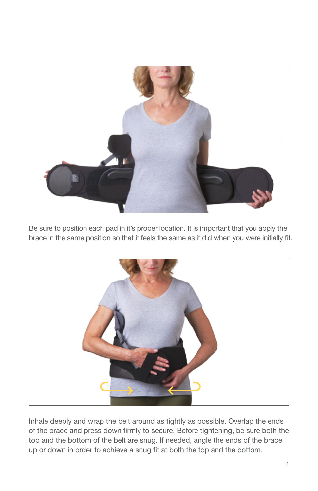

Be sure to position each pad in it's proper location. It is important that you apply the brace in the same position so that it feels the same as it did when you were initially fit.



Inhale deeply and wrap the belt around as tightly as possible. Overlap the ends of the brace and press down firmly to secure. Before tightening, be sure both the top and the bottom of the belt are snug. If needed, angle the ends of the brace up or down in order to achieve a snug fit at both the top and the bottom.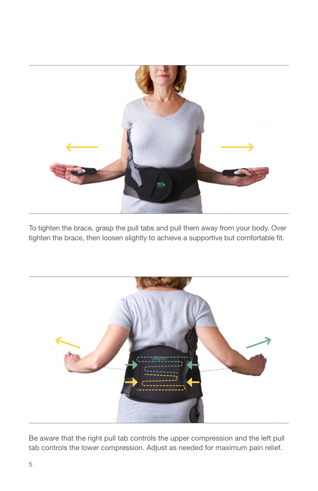

To tighten the brace, grasp the pull tabs and pull them away from your body. Over tighten the brace, then loosen slightly to achieve a supportive but comfortable fit.



Be aware that the right pull tab controls the upper compression and the left pull tab controls the lower compression. Adjust as needed for maximum pain relief.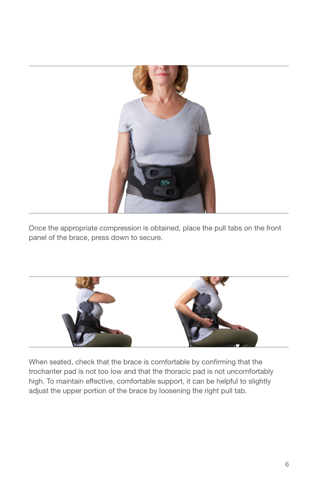

Once the appropriate compression is obtained, place the pull tabs on the front panel of the brace, press down to secure.



When seated, check that the brace is comfortable by confirming that the trochanter pad is not too low and that the thoracic pad is not uncomfortably high. To maintain effective, comfortable support, it can be helpful to slightly adjust the upper portion of the brace by loosening the right pull tab.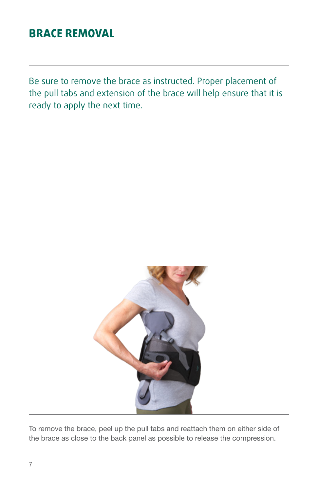#### **Brace Removal**

Be sure to remove the brace as instructed. Proper placement of the pull tabs and extension of the brace will help ensure that it is ready to apply the next time.



To remove the brace, peel up the pull tabs and reattach them on either side of the brace as close to the back panel as possible to release the compression.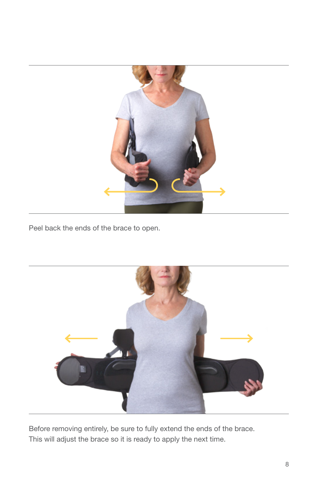

Peel back the ends of the brace to open.



Before removing entirely, be sure to fully extend the ends of the brace. This will adjust the brace so it is ready to apply the next time.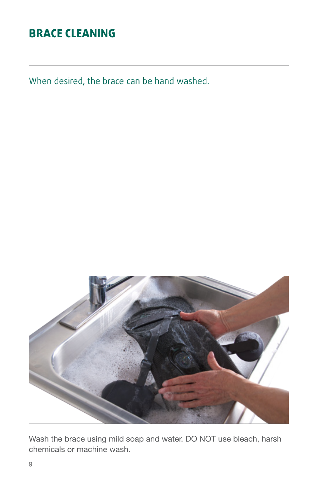#### **Brace Cleaning**

When desired, the brace can be hand washed.



Wash the brace using mild soap and water. DO NOT use bleach, harsh chemicals or machine wash.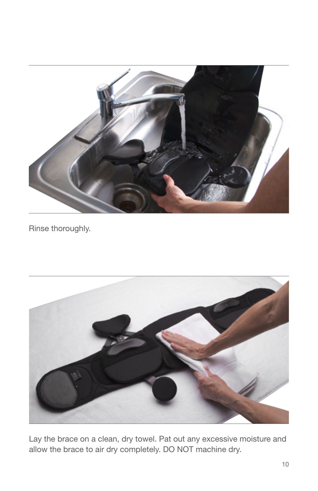

Rinse thoroughly.



Lay the brace on a clean, dry towel. Pat out any excessive moisture and allow the brace to air dry completely. DO NOT machine dry.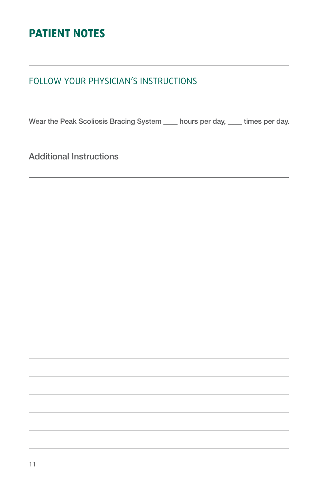#### **Patient Notes**

#### Follow your physician's instructions

Wear the Peak Scoliosis Bracing System \_\_\_\_ hours per day, \_\_\_\_ times per day.

Additional Instructions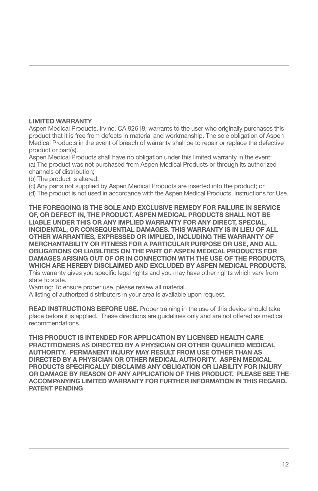#### LIMITED WARRANTY

Aspen Medical Products, Irvine, CA 92618, warrants to the user who originally purchases this product that it is free from defects in material and workmanship. The sole obligation of Aspen Medical Products in the event of breach of warranty shall be to repair or replace the defective product or part(s).

Aspen Medical Products shall have no obligation under this limited warranty in the event: (a) The product was not purchased from Aspen Medical Products or through its authorized channels of distribution;

- (b) The product is altered;
- (c) Any parts not supplied by Aspen Medical Products are inserted into the product; or
- (d) The product is not used in accordance with the Aspen Medical Products, Instructions for Use.

THE FOREGOING IS THE SOLE AND EXCLUSIVE REMEDY FOR FAILURE IN SERVICE OF, OR DEFECT IN, THE PRODUCT. ASPEN MEDICAL PRODUCTS SHALL NOT BE LIABLE UNDER THIS OR ANY IMPLIED WARRANTY FOR ANY DIRECT, SPECIAL, INCIDENTAL, OR CONSEQUENTIAL DAMAGES. THIS WARRANTY IS IN LIEU OF ALL OTHER WARRANTIES, EXPRESSED OR IMPLIED, INCLUDING THE WARRANTY OF MERCHANTABILITY OR FITNESS FOR A PARTICULAR PURPOSE OR USE, AND ALL OBLIGATIONS OR LIABILITIES ON THE PART OF ASPEN MEDICAL PRODUCTS FOR DAMAGES ARISING OUT OF OR IN CONNECTION WITH THE USE OF THE PRODUCTS, WHICH ARE HEREBY DISCLAIMED AND EXCLUDED BY ASPEN MEDICAL PRODUCTS. This warranty gives you specific legal rights and you may have other rights which vary from state to state.

Warning: To ensure proper use, please review all material.

A listing of authorized distributors in your area is available upon request.

READ INSTRUCTIONS BEFORE USE. Proper training in the use of this device should take place before it is applied. These directions are guidelines only and are not offered as medical recommendations.

THIS PRODUCT IS INTENDED FOR APPLICATION BY LICENSED HEALTH CARE PRACTITIONERS AS DIRECTED BY A PHYSICIAN OR OTHER QUALIFIED MEDICAL AUTHORITY. PERMANENT INJURY MAY RESULT FROM USE OTHER THAN AS DIRECTED BY A PHYSICIAN OR OTHER MEDICAL AUTHORITY. ASPEN MEDICAL PRODUCTS SPECIFICALLY DISCLAIMS ANY OBLIGATION OR LIABILITY FOR INJURY OR DAMAGE BY REASON OF ANY APPLICATION OF THIS PRODUCT. PLEASE SEE THE ACCOMPANYING LIMITED WARRANTY FOR FURTHER INFORMATION IN THIS REGARD. PATENT PENDING